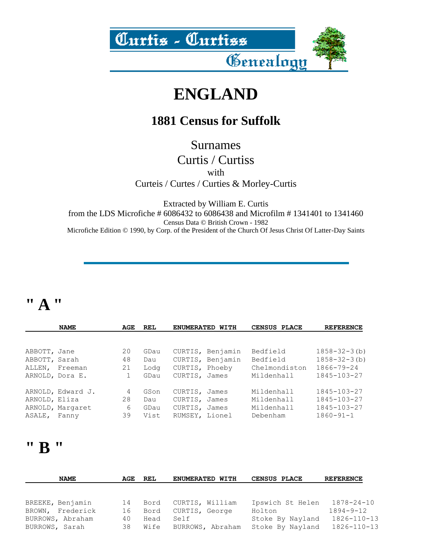

## **ENGLAND**

#### **1881 Census for Suffolk**

Surnames

Curtis / Curtiss with Curteis / Curtes / Curties & Morley-Curtis

Extracted by William E. Curtis from the LDS Microfiche # 6086432 to 6086438 and Microfilm # 1341401 to 1341460 Census Data © British Crown - 1982 Microfiche Edition © 1990, by Corp. of the President of the Church Of Jesus Christ Of Latter-Day Saints

#### **" A "**

|                                         | <b>NAME</b>                           | AGE                            | REL                         | <b>ENUMERATED</b>                                                       | WITH | CENSUS PLACE                                        | <b>REFERENCE</b>                                                              |
|-----------------------------------------|---------------------------------------|--------------------------------|-----------------------------|-------------------------------------------------------------------------|------|-----------------------------------------------------|-------------------------------------------------------------------------------|
|                                         |                                       |                                |                             |                                                                         |      |                                                     |                                                                               |
| ABBOTT, Jane<br>ABBOTT, Sarah<br>ALLEN, | Freeman<br>ARNOLD, Dora E.            | 20<br>48<br>21<br>$\mathbf{1}$ | GDau<br>Dau<br>Lodg<br>GDau | CURTIS, Benjamin<br>CURTIS, Benjamin<br>CURTIS, Phoeby<br>CURTIS, James |      | Bedfield<br>Bedfield<br>Chelmondiston<br>Mildenhall | $1858 - 32 - 3$ (b)<br>$1858 - 32 - 3$ (b)<br>$1866 - 79 - 24$<br>1845-103-27 |
| ARNOLD, Eliza<br>ASALE, Fanny           | ARNOLD, Edward J.<br>ARNOLD, Margaret | 4<br>28<br>6<br>39             | GSon<br>Dau<br>GDau<br>Vist | CURTIS, James<br>CURTIS, James<br>CURTIS, James<br>RUMSEY, Lionel       |      | Mildenhall<br>Mildenhall<br>Mildenhall<br>Debenham  | 1845-103-27<br>1845-103-27<br>1845-103-27<br>$1860 - 91 - 1$                  |

#### **" B "**

|                                    | <b>NAME</b> | AGE      | REL          | ENUMERATED WITH          | CENSUS PLACE                         | <b>REFERENCE</b>                       |
|------------------------------------|-------------|----------|--------------|--------------------------|--------------------------------------|----------------------------------------|
|                                    |             |          |              |                          |                                      |                                        |
| BREEKE, Benjamin                   |             | 14       | Bord         | CURTIS, William          | Ipswich St Helen                     | 1878-24-10                             |
| BROWN, Frederick                   |             | 16       | Bord         | CURTIS, George           | Holton                               | $1894 - 9 - 12$                        |
| BURROWS, Abraham<br>BURROWS, Sarah |             | 40<br>38 | Head<br>Wife | Self<br>BURROWS, Abraham | Stoke By Nayland<br>Stoke By Nayland | $1826 - 110 - 13$<br>$1826 - 110 - 13$ |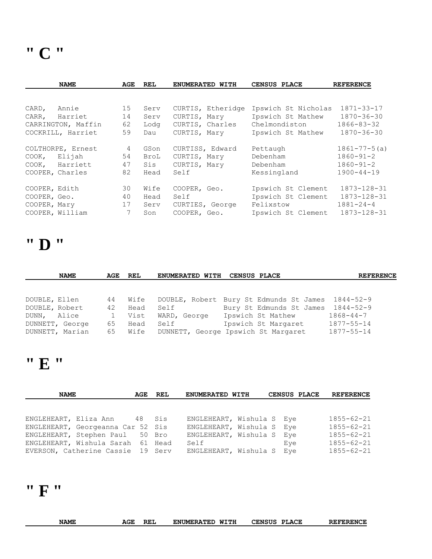**" C "** 

|                 | <b>NAME</b>        | AGE | <b>REL</b> | ENUMERATED WITH   | CENSUS PLACE        | <b>REFERENCE</b>   |
|-----------------|--------------------|-----|------------|-------------------|---------------------|--------------------|
|                 |                    |     |            |                   |                     |                    |
| CARD,           | Annie              | 15  | Serv       | CURTIS, Etheridge | Ipswich St Nicholas | $1871 - 33 - 17$   |
| CARR,           | Harriet            | 14  | Serv       | CURTIS, Mary      | Ipswich St Mathew   | $1870 - 36 - 30$   |
|                 | CARRINGTON, Maffin | 62  | Lodg       | CURTIS, Charles   | Chelmondiston       | $1866 - 83 - 32$   |
|                 | COCKRILL, Harriet  | 59  | Dau        | CURTIS, Mary      | Ipswich St Mathew   | $1870 - 36 - 30$   |
|                 | COLTHORPE, Ernest  | 4   | GSon       | CURTISS, Edward   | Pettaugh            | $1861 - 77 - 5(a)$ |
| COOK,           | Elijah             | 54  | BroL       | CURTIS, Mary      | Debenham            | $1860 - 91 - 2$    |
| COOK,           | Harriett           | 47  | Sis        | CURTIS, Mary      | Debenham            | $1860 - 91 - 2$    |
| COOPER, Charles |                    | 82  | Head       | Self              | Kessingland         | $1900 - 44 - 19$   |
| COOPER, Edith   |                    | 30  | Wife       | COOPER, Geo.      | Ipswich St Clement  | 1873-128-31        |
| COOPER, Geo.    |                    | 40  | Head       | Self              | Ipswich St Clement  | 1873-128-31        |
| COOPER, Mary    |                    | 17  | Serv       | CURTIES, George   | Felixstow           | $1881 - 24 - 4$    |
| COOPER, William |                    | 7   | Son        | COOPER, Geo.      | Ipswich St Clement  | 1873-128-31        |

### **" D "**

|                               | <b>NAME</b>                        | AGE                            | REL                          | ENUMERATED WITH | <b>CENSUS PLACE</b>                                                                                                                | <b>REFERENCE</b>                                        |
|-------------------------------|------------------------------------|--------------------------------|------------------------------|-----------------|------------------------------------------------------------------------------------------------------------------------------------|---------------------------------------------------------|
|                               |                                    |                                |                              |                 |                                                                                                                                    |                                                         |
| DOUBLE, Ellen                 |                                    | 44                             | Wife                         |                 | DOUBLE, Robert Bury St Edmunds St James                                                                                            | 1844-52-9                                               |
| DOUBLE, Robert<br>DUNN, Alice | DUNNETT, George<br>DUNNETT, Marian | 42<br>$\mathbf{1}$<br>65<br>65 | Head<br>Vist<br>Head<br>Wife | Self<br>Self    | Bury St Edmunds St James 1844-52-9<br>WARD, George Ipswich St Mathew<br>Ipswich St Margaret<br>DUNNETT, George Ipswich St Margaret | $1868 - 44 - 7$<br>$1877 - 55 - 14$<br>$1877 - 55 - 14$ |

# **" E "**

| <b>NAME</b> |                                   |  | AGE REL | ENUMERATED WITH           | <b>CENSUS PLACE</b> | <b>REFERENCE</b> |
|-------------|-----------------------------------|--|---------|---------------------------|---------------------|------------------|
|             |                                   |  |         |                           |                     |                  |
|             |                                   |  |         |                           |                     |                  |
|             | ENGLEHEART, Eliza Ann 48 Sis      |  |         | ENGLEHEART, Wishula S Eye |                     | $1855 - 62 - 21$ |
|             | ENGLEHEART, Georgeanna Car 52 Sis |  |         | ENGLEHEART, Wishula S Eye |                     | $1855 - 62 - 21$ |
|             | ENGLEHEART, Stephen Paul 50 Bro   |  |         | ENGLEHEART, Wishula S Eye |                     | $1855 - 62 - 21$ |
|             | ENGLEHEART, Wishula Sarah 61 Head |  |         | Self                      | Eve                 | $1855 - 62 - 21$ |
|             | EVERSON, Catherine Cassie 19 Serv |  |         | ENGLEHEART, Wishula S Eye |                     | $1855 - 62 - 21$ |

# **" F "**

|             |     |     | WITH              | <b>CENSUS</b> | <b>REFERENCE</b> |
|-------------|-----|-----|-------------------|---------------|------------------|
| <b>NAME</b> | AGE | REI | <b>ENUMERATED</b> | <b>PLACE</b>  |                  |
|             |     |     |                   |               |                  |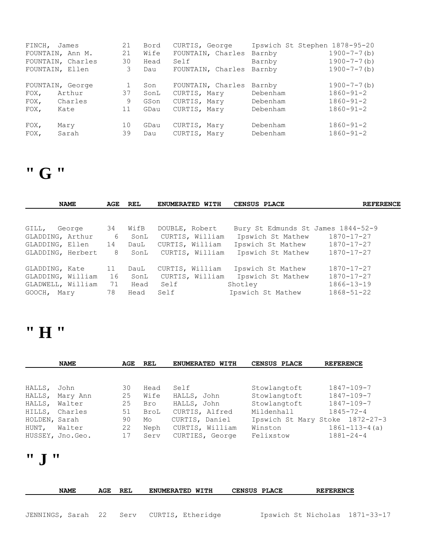| FINCH, James |                   | 21 | Bord | CURTIS, George    | Ipswich St Stephen 1878-95-20 |                    |
|--------------|-------------------|----|------|-------------------|-------------------------------|--------------------|
|              | FOUNTAIN, Ann M.  | 21 | Wife | FOUNTAIN, Charles | Barnby                        | $1900 - 7 - 7$ (b) |
|              | FOUNTAIN, Charles | 30 | Head | Self              | Barnby                        | $1900 - 7 - 7$ (b) |
|              | FOUNTAIN, Ellen   | 3  | Dau  | FOUNTAIN, Charles | Barnby                        | $1900 - 7 - 7$ (b) |
|              |                   |    |      |                   |                               |                    |
|              | FOUNTAIN, George  |    | Son  | FOUNTAIN, Charles | Barnby                        | $1900 - 7 - 7$ (b) |
| $FOX$ ,      | Arthur            | 37 | SonL | CURTIS, Mary      | Debenham                      | $1860 - 91 - 2$    |
| FOX,         | Charles           | 9  | GSon | CURTIS, Mary      | Debenham                      | $1860 - 91 - 2$    |
| $FOX$ ,      | Kate              | 11 | GDau | CURTIS, Mary      | Debenham                      | $1860 - 91 - 2$    |
|              |                   |    |      |                   |                               |                    |
| $FOX$ ,      | Mary              | 10 | GDau | CURTIS, Mary      | Debenham                      | $1860 - 91 - 2$    |
| FOX,         | Sarah             | 39 | Dau  | CURTIS, Mary      | Debenham                      | $1860 - 91 - 2$    |
|              |                   |    |      |                   |                               |                    |

## **" G "**

| <b>NAME</b>       |        | AGE | REL  | ENUMERATED WITH | CENSUS PLACE                       | <b>REFERENCE</b> |
|-------------------|--------|-----|------|-----------------|------------------------------------|------------------|
|                   |        |     |      |                 |                                    |                  |
| GILL,             | George | 34  | WifB | DOUBLE, Robert  | Bury St Edmunds St James 1844-52-9 |                  |
| GLADDING, Arthur  |        | 6   | SonL | CURTIS, William | Ipswich St Mathew                  | 1870-17-27       |
| GLADDING, Ellen   |        | 14  | DauL | CURTIS, William | Ipswich St Mathew                  | 1870-17-27       |
| GLADDING, Herbert |        | 8   | SonL | CURTIS, William | Ipswich St Mathew                  | $1870 - 17 - 27$ |
| GLADDING, Kate    |        | 11  | DauL | CURTIS, William | Ipswich St Mathew                  | $1870 - 17 - 27$ |
| GLADDING, William |        | 16  | SonL | CURTIS, William | Ipswich St Mathew                  | $1870 - 17 - 27$ |
| GLADWELL, William |        | 71  | Head | Self            | Shotley                            | $1866 - 13 - 19$ |
| GOOCH, Mary       |        | 78  | Head | Self            | Ipswich St Mathew                  | $1868 - 51 - 22$ |

### **" H "**

|               | <b>NAME</b>      | AGE | REL  | ENUMERATED WITH | CENSUS PLACE | <b>REFERENCE</b>                |
|---------------|------------------|-----|------|-----------------|--------------|---------------------------------|
|               |                  |     |      |                 |              |                                 |
| HALLS,        | John             | 30  | Head | Self            | Stowlangtoft | $1847 - 109 - 7$                |
| HALLS,        | Mary Ann         | 25  | Wife | HALLS, John     | Stowlangtoft | $1847 - 109 - 7$                |
| HALLS,        | Walter           | 25  | Bro  | HALLS, John     | Stowlangtoft | $1847 - 109 - 7$                |
|               | HILLS, Charles   | 51  | BroL | CURTIS, Alfred  | Mildenhall   | $1845 - 72 - 4$                 |
| HOLDEN, Sarah |                  | 90  | Mo   | CURTIS, Daniel  |              | Ipswich St Mary Stoke 1872-27-3 |
| HUNT,         | Walter           | 22  | Neph | CURTIS, William | Winston      | $1861 - 113 - 4(a)$             |
|               | HUSSEY, Jno.Geo. | 17  | Serv | CURTIES, George | Felixstow    | $1881 - 24 - 4$                 |

# **" J "**

|                                           | <b>NAME</b> | AGE | REL | <b>ENUMERATED WITH</b> | CENSUS PLACE | <b>REFERENCE</b>               |  |
|-------------------------------------------|-------------|-----|-----|------------------------|--------------|--------------------------------|--|
|                                           |             |     |     |                        |              |                                |  |
| JENNINGS, Sarah 22 Serv CURTIS, Etheridge |             |     |     |                        |              | Ipswich St Nicholas 1871-33-17 |  |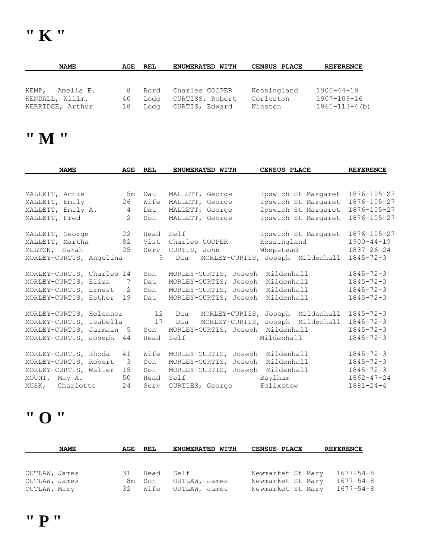| <b>NAME</b>        | AGE | REL  | ENUMERATED WITH | <b>CENSUS PLACE</b> | <b>REFERENCE</b>     |
|--------------------|-----|------|-----------------|---------------------|----------------------|
|                    |     |      |                 |                     |                      |
|                    |     |      |                 |                     |                      |
| Amelia E.<br>KEMP, | 8   | Bord | Charles COOPER  | Kessingland         | $1900 - 44 - 19$     |
| KENDALL, Willm.    | 40  | Loda | CURTISS, Robert | Gorleston           | 1907-109-16          |
| KERRIDGE, Arthur   | 18  | Loda | CURTIS, Edward  | Winston             | $1861 - 113 - 4$ (b) |

### **" M "**

| <b>NAME</b>               | AGE            | <b>REL</b> | ENUMERATED WITH                  | CENSUS PLACE                     | <b>REFERENCE</b> |
|---------------------------|----------------|------------|----------------------------------|----------------------------------|------------------|
|                           |                |            |                                  |                                  |                  |
| MALLETT, Annie            | 5m             | Dau        | MALLETT, George                  | Ipswich St Margaret              | 1876-105-27      |
| MALLETT, Emily            | 26             | Wife       | MALLETT, George                  | Ipswich St Margaret              | 1876-105-27      |
| MALLETT, Emily A.         | $\overline{4}$ | Dau        | MALLETT, George                  | Ipswich St Margaret              | 1876-105-27      |
| MALLETT, Fred             | $\overline{2}$ | Son        | MALLETT, George                  | Ipswich St Margaret              | 1876-105-27      |
| MALLETT, George           | 22             | Head       | Self                             | Ipswich St Margaret              | 1876-105-27      |
| MALLETT, Martha           | 82             | Vist       | Charles COOPER                   | Kessingland                      | $1900 - 44 - 19$ |
| MELTON, Sarah             | 25             | Serv       | CURTIS, John                     | Whepstead                        | $1837 - 26 - 24$ |
| MORLEY-CURTIS, Angelina   |                | 9          | Dau                              | MORLEY-CURTIS, Joseph Mildenhall | $1845 - 72 - 3$  |
| MORLEY-CURTIS, Charles 14 |                | Son        | MORLEY-CURTIS, Joseph            | Mildenhall                       | $1845 - 72 - 3$  |
| MORLEY-CURTIS, Eliza      | 7              | Dau        | MORLEY-CURTIS, Joseph            | Mildenhall                       | $1845 - 72 - 3$  |
| MORLEY-CURTIS, Ernest     | 2              | Son        | MORLEY-CURTIS, Joseph            | Mildenhall                       | $1845 - 72 - 3$  |
| MORLEY-CURTIS, Esther     | 19             | Dau        | MORLEY-CURTIS, Joseph            | Mildenhall                       | $1845 - 72 - 3$  |
| MORLEY-CURTIS, Heleanor   |                | 12         | Dau                              | MORLEY-CURTIS, Joseph Mildenhall | $1845 - 72 - 3$  |
| MORLEY-CURTIS, Isabella   |                | 17         | Dau                              | MORLEY-CURTIS, Joseph Mildenhall | $1845 - 72 - 3$  |
| MORLEY-CURTIS, Jarmain 5  |                | Son        | MORLEY-CURTIS, Joseph Mildenhall |                                  | $1845 - 72 - 3$  |
| MORLEY-CURTIS, Joseph 44  |                | Head       | Self                             | Mildenhall                       | $1845 - 72 - 3$  |
| MORLEY-CURTIS, Rhoda      | 41             | Wife       | MORLEY-CURTIS, Joseph            | Mildenhall                       | $1845 - 72 - 3$  |
| MORLEY-CURTIS, Robert     | 3              | Son        | MORLEY-CURTIS, Joseph            | Mildenhall                       | $1845 - 72 - 3$  |
| MORLEY-CURTIS, Walter     | 15             | Son        | MORLEY-CURTIS, Joseph            | Mildenhall                       | $1845 - 72 - 3$  |
| MOUNT, May A.             | 50             | Head       | Self                             | Baylham                          | $1862 - 47 - 24$ |
| MUSK, Charlotte           | 24             | Serv       | CURTIES, George                  | Felixstow                        | $1881 - 24 - 4$  |

### **" O "**

| <b>NAME</b>   | AGE | REL     | ENUMERATED WITH | <b>CENSUS PLACE</b> |  | <b>REFERENCE</b> |
|---------------|-----|---------|-----------------|---------------------|--|------------------|
|               |     |         |                 |                     |  |                  |
|               |     |         |                 |                     |  |                  |
| OUTLAW, James | -31 | Head    | Self            | Newmarket St Mary   |  | $1677 - 54 - 8$  |
| OUTLAW, James |     | 8m Son  | OUTLAW, James   | Newmarket St Mary   |  | $1677 - 54 - 8$  |
| OUTLAW, Mary  |     | 32 Wife | OUTLAW, James   | Newmarket St Mary   |  | 1677-54-8        |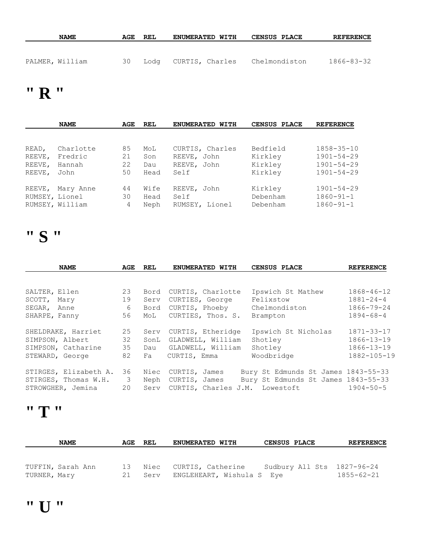| <b>NAME</b>     | AGE | REL | <b>ENUMERATED WITH</b> | <b>CENSUS PLACE</b> | <b>REFERENCE</b> |
|-----------------|-----|-----|------------------------|---------------------|------------------|
|                 |     |     |                        |                     |                  |
| PALMER, William | 30  |     | Lodg CURTIS, Charles   | Chelmondiston       | 1866-83-32       |

## **" R "**

|        | <b>NAME</b>     | AGE | <b>REL</b> | <b>ENUMERATED</b><br>WITH | CENSUS PLACE | <b>REFERENCE</b> |
|--------|-----------------|-----|------------|---------------------------|--------------|------------------|
|        |                 |     |            |                           |              |                  |
| READ,  | Charlotte       | 85  | MoL        | CURTIS, Charles           | Bedfield     | $1858 - 35 - 10$ |
| REEVE, | Fredric         | 21  | Son        | REEVE, John               | Kirkley      | $1901 - 54 - 29$ |
| REEVE, | Hannah          | 22  | Dau        | REEVE, John               | Kirkley      | $1901 - 54 - 29$ |
| REEVE, | John            | 50  | Head       | Self                      | Kirkley      | $1901 - 54 - 29$ |
| REEVE, | Mary Anne       | 44  | Wife       | REEVE, John               | Kirkley      | $1901 - 54 - 29$ |
|        | RUMSEY, Lionel  | 30  | Head       | Self                      | Debenham     | $1860 - 91 - 1$  |
|        | RUMSEY, William | 4   | Neph       | RUMSEY, Lionel            | Debenham     | $1860 - 91 - 1$  |

## **" S "**

| <b>NAME</b>           | AGE | REL  | ENUMERATED WITH   | CENSUS PLACE                        | <b>REFERENCE</b> |
|-----------------------|-----|------|-------------------|-------------------------------------|------------------|
|                       |     |      |                   |                                     |                  |
| SALTER, Ellen         | 23  | Bord | CURTIS, Charlotte | Ipswich St Mathew                   | $1868 - 46 - 12$ |
| SCOTT, Mary           | 19  | Serv | CURTIES, George   | Felixstow                           | $1881 - 24 - 4$  |
| SEGAR, Anne           | 6   | Bord | CURTIS, Phoeby    | Chelmondiston                       | $1866 - 79 - 24$ |
| SHARPE, Fanny         | 56  | MoL  | CURTIES, Thos. S. | Brampton                            | $1894 - 68 - 4$  |
| SHELDRAKE, Harriet    | 25  | Serv | CURTIS, Etheridge | Ipswich St Nicholas                 | $1871 - 33 - 17$ |
| SIMPSON, Albert       | 32  | SonL | GLADWELL, William | Shotley                             | $1866 - 13 - 19$ |
| SIMPSON, Catharine    | 35  | Dau  | GLADWELL, William | Shotley                             | $1866 - 13 - 19$ |
| STEWARD, George       | 82  | Fa   | CURTIS, Emma      | Woodbridge                          | 1882-105-19      |
| STIRGES, Elizabeth A. | 36  | Niec | CURTIS, James     | Bury St Edmunds St James 1843-55-33 |                  |
| STIRGES, Thomas W.H.  | 3   | Neph | CURTIS, James     | Bury St Edmunds St James 1843-55-33 |                  |
| STROWGHER, Jemina     | 20  | Serv | CURTIS, Charles   | J.M. Lowestoft                      | $1904 - 50 - 5$  |

#### **" T "**

|              | <b>NAME</b>       | AGE REL | <b>ENUMERATED WITH</b>                                      | CENSUS PLACE | <b>REFERENCE</b>                               |
|--------------|-------------------|---------|-------------------------------------------------------------|--------------|------------------------------------------------|
|              |                   |         |                                                             |              |                                                |
| TURNER, Mary | TUFFIN, Sarah Ann | 21      | 13 Niec CURTIS, Catherine<br>Serv ENGLEHEART, Wishula S Eye |              | Sudbury All Sts 1827-96-24<br>$1855 - 62 - 21$ |